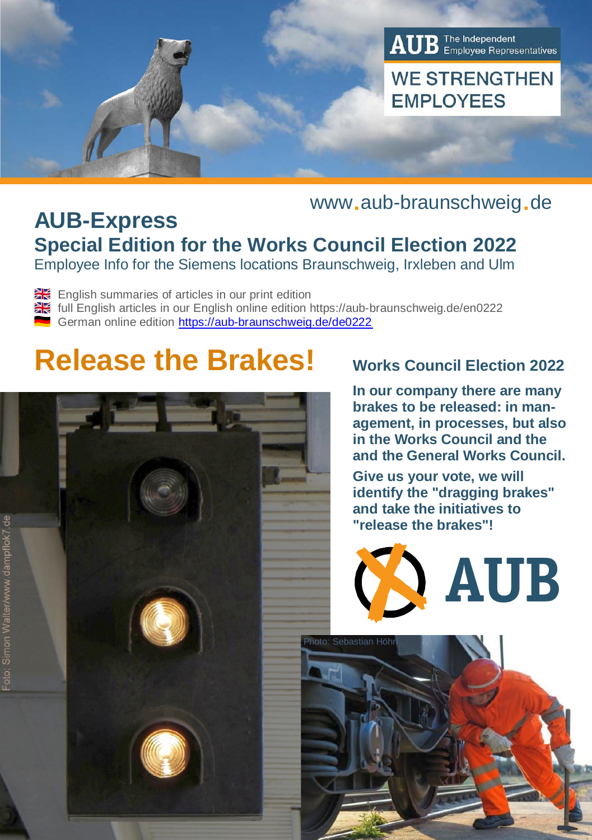

# www.aub-braunschweig.de

# **AUB-Express Special Edition for the Works Council Election 2022**

Employee Info for the Siemens locations Braunschweig, Irxleben and Ulm

English summaries of articles in our print edition

full English articles in our English online edition https://aub-braunschweig.de/en0222

German online edition https://aub-braunschweig.de/de0222

# **Release the Brakes! Works Council Election 2022**

# $\sim$

Foto: Simon V

**In our company there are many brakes to be released: in management, in processes, but also in the Works Council and the and the General Works Council.**

**Give us your vote, we will identify the "dragging brakes" and take the initiatives to "release the brakes"!**



Photo: Sebastian Höhn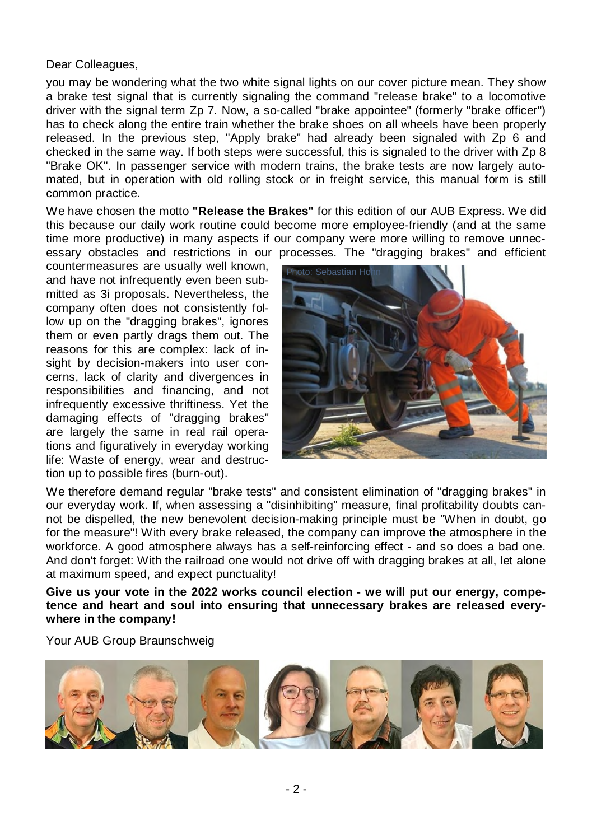Dear Colleagues,

you may be wondering what the two white signal lights on our cover picture mean. They show a brake test signal that is currently signaling the command "release brake" to a locomotive driver with the signal term Zp 7. Now, a so-called "brake appointee" (formerly "brake officer") has to check along the entire train whether the brake shoes on all wheels have been properly released. In the previous step, "Apply brake" had already been signaled with Zp 6 and checked in the same way. If both steps were successful, this is signaled to the driver with Zp 8 "Brake OK". In passenger service with modern trains, the brake tests are now largely automated, but in operation with old rolling stock or in freight service, this manual form is still common practice.

We have chosen the motto **"Release the Brakes"** for this edition of our AUB Express. We did this because our daily work routine could become more employee-friendly (and at the same time more productive) in many aspects if our company were more willing to remove unnecessary obstacles and restrictions in our processes. The "dragging brakes" and efficient

countermeasures are usually well known, and have not infrequently even been submitted as 3i proposals. Nevertheless, the company often does not consistently follow up on the "dragging brakes", ignores them or even partly drags them out. The reasons for this are complex: lack of insight by decision-makers into user concerns, lack of clarity and divergences in responsibilities and financing, and not infrequently excessive thriftiness. Yet the damaging effects of "dragging brakes" are largely the same in real rail operations and figuratively in everyday working life: Waste of energy, wear and destruction up to possible fires (burn-out).



We therefore demand regular "brake tests" and consistent elimination of "dragging brakes" in our everyday work. If, when assessing a "disinhibiting" measure, final profitability doubts cannot be dispelled, the new benevolent decision-making principle must be "When in doubt, go for the measure"! With every brake released, the company can improve the atmosphere in the workforce. A good atmosphere always has a self-reinforcing effect - and so does a bad one. And don't forget: With the railroad one would not drive off with dragging brakes at all, let alone at maximum speed, and expect punctuality!

**Give us your vote in the 2022 works council election - we will put our energy, competence and heart and soul into ensuring that unnecessary brakes are released everywhere in the company!**

Your AUB Group Braunschweig

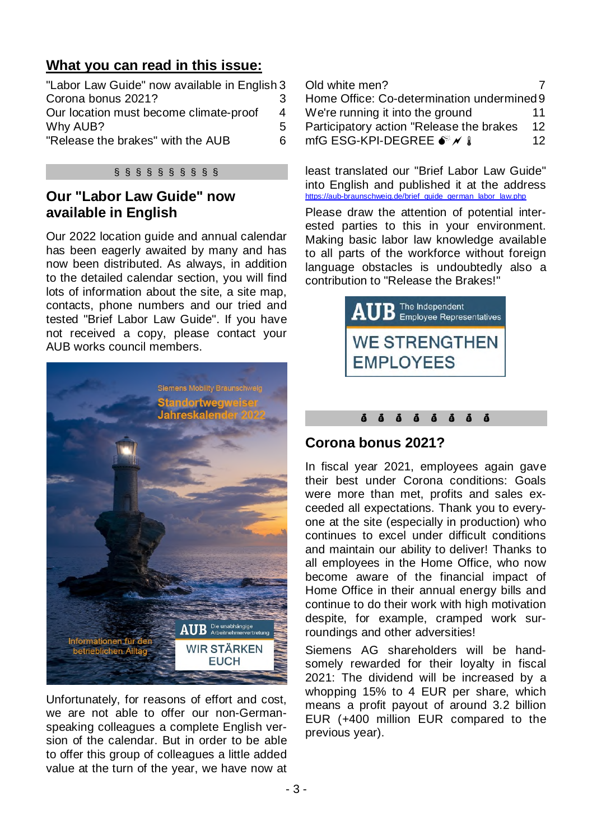### **What you can read in this issue:**

| "Labor Law Guide" now available in English 3 |   |   |
|----------------------------------------------|---|---|
| Corona bonus 2021?                           |   |   |
| Our location must become climate-proof       | 4 |   |
| Why AUB?                                     | 5 | F |
| "Release the brakes" with the AUB            | 6 | n |
|                                              |   |   |

### § § § § § § § § § §

### **Our "Labor Law Guide" now available in English**

Our 2022 location guide and annual calendar has been eagerly awaited by many and has now been distributed. As always, in addition to the detailed calendar section, you will find lots of information about the site, a site map, contacts, phone numbers and our tried and tested "Brief Labor Law Guide". If you have not received a copy, please contact your AUB works council members.



Unfortunately, for reasons of effort and cost, we are not able to offer our non-Germanspeaking colleagues a complete English version of the calendar. But in order to be able to offer this group of colleagues a little added value at the turn of the year, we have now at

| Old white men?                             |    |  |  |
|--------------------------------------------|----|--|--|
| Home Office: Co-determination undermined 9 |    |  |  |
| We're running it into the ground           | 11 |  |  |
| Participatory action "Release the brakes   | 12 |  |  |
| mfG ESG-KPI-DEGREE • <del>√</del> A        | 12 |  |  |

least translated our "Brief Labor Law Guide" into English and published it at the address https://aub-braunschweig.de/brief\_guide\_german\_labor\_law.php

Please draw the attention of potential interested parties to this in your environment. Making basic labor law knowledge available to all parts of the workforce without foreign language obstacles is undoubtedly also a contribution to "Release the Brakes!"



### $\ddot{a}$  $\ddot{a}$  $\ddot{a}$  $\ddot{a}$  $\ddot{a}$  $\ddot{a}$  $\ddot{a}$   $\ddot{a}$

### **Corona bonus 2021?**

In fiscal year 2021, employees again gave their best under Corona conditions: Goals were more than met, profits and sales exceeded all expectations. Thank you to everyone at the site (especially in production) who continues to excel under difficult conditions and maintain our ability to deliver! Thanks to all employees in the Home Office, who now become aware of the financial impact of Home Office in their annual energy bills and continue to do their work with high motivation despite, for example, cramped work surroundings and other adversities!

Siemens AG shareholders will be handsomely rewarded for their loyalty in fiscal 2021: The dividend will be increased by a whopping 15% to 4 EUR per share, which means a profit payout of around 3.2 billion EUR (+400 million EUR compared to the previous year).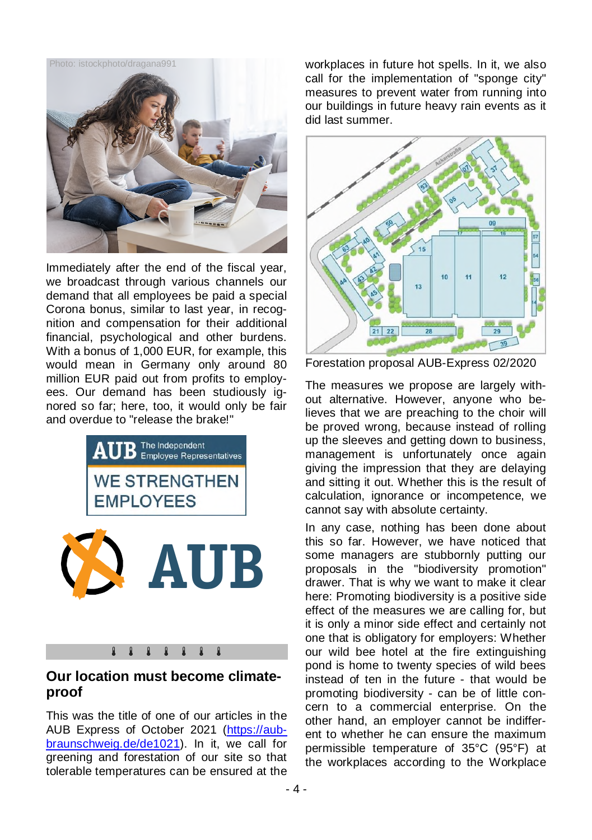

Immediately after the end of the fiscal year, we broadcast through various channels our demand that all employees be paid a special Corona bonus, similar to last year, in recognition and compensation for their additional financial, psychological and other burdens. With a bonus of 1,000 EUR, for example, this would mean in Germany only around 80 million EUR paid out from profits to employees. Our demand has been studiously ignored so far; here, too, it would only be fair and overdue to "release the brake!"



### 8888888

### **Our location must become climateproof**

This was the title of one of our articles in the AUB Express of October 2021 (https://aubbraunschweig.de/de1021). In it, we call for greening and forestation of our site so that tolerable temperatures can be ensured at the

workplaces in future hot spells. In it, we also call for the implementation of "sponge city" measures to prevent water from running into our buildings in future heavy rain events as it did last summer.



Forestation proposal AUB-Express 02/2020

The measures we propose are largely without alternative. However, anyone who believes that we are preaching to the choir will be proved wrong, because instead of rolling up the sleeves and getting down to business, management is unfortunately once again giving the impression that they are delaying and sitting it out. Whether this is the result of calculation, ignorance or incompetence, we cannot say with absolute certainty.

In any case, nothing has been done about this so far. However, we have noticed that some managers are stubbornly putting our proposals in the "biodiversity promotion" drawer. That is why we want to make it clear here: Promoting biodiversity is a positive side effect of the measures we are calling for, but it is only a minor side effect and certainly not one that is obligatory for employers: Whether our wild bee hotel at the fire extinguishing pond is home to twenty species of wild bees instead of ten in the future - that would be promoting biodiversity - can be of little concern to a commercial enterprise. On the other hand, an employer cannot be indifferent to whether he can ensure the maximum permissible temperature of 35°C (95°F) at the workplaces according to the Workplace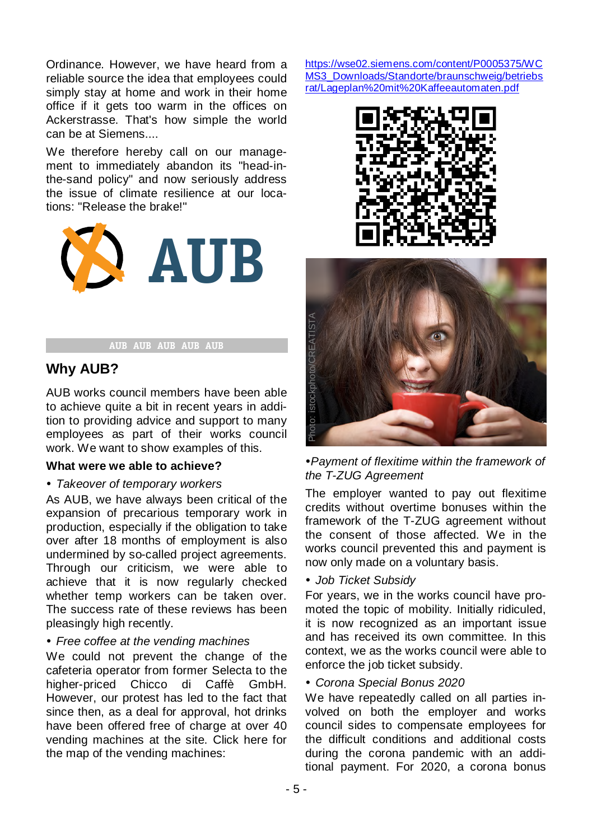Ordinance. However, we have heard from a reliable source the idea that employees could simply stay at home and work in their home office if it gets too warm in the offices on Ackerstrasse. That's how simple the world can be at Siemens....

We therefore hereby call on our management to immediately abandon its "head-inthe-sand policy" and now seriously address the issue of climate resilience at our locations: "Release the brake!"



### AUB AUB AUB AUB AUB

### **Why AUB?**

AUB works council members have been able to achieve quite a bit in recent years in addition to providing advice and support to many employees as part of their works council work. We want to show examples of this.

### **What were we able to achieve?**

### *Takeover of temporary workers*

As AUB, we have always been critical of the expansion of precarious temporary work in production, especially if the obligation to take over after 18 months of employment is also undermined by so-called project agreements. Through our criticism, we were able to achieve that it is now regularly checked whether temp workers can be taken over. The success rate of these reviews has been pleasingly high recently.

### *Free coffee at the vending machines*

We could not prevent the change of the cafeteria operator from former Selecta to the higher-priced Chicco di Caffè GmbH. However, our protest has led to the fact that since then, as a deal for approval, hot drinks have been offered free of charge at over 40 vending machines at the site. Click here for the map of the vending machines:

https://wse02.siemens.com/content/P0005375/WC MS3\_Downloads/Standorte/braunschweig/betriebs rat/Lageplan%20mit%20Kaffeeautomaten.pdf





*Payment of flexitime within the framework of the T-ZUG Agreement*

The employer wanted to pay out flexitime credits without overtime bonuses within the framework of the T-ZUG agreement without the consent of those affected. We in the works council prevented this and payment is now only made on a voluntary basis.

### *Job Ticket Subsidy*

For years, we in the works council have promoted the topic of mobility. Initially ridiculed, it is now recognized as an important issue and has received its own committee. In this context, we as the works council were able to enforce the job ticket subsidy.

### *Corona Special Bonus 2020*

We have repeatedly called on all parties involved on both the employer and works council sides to compensate employees for the difficult conditions and additional costs during the corona pandemic with an additional payment. For 2020, a corona bonus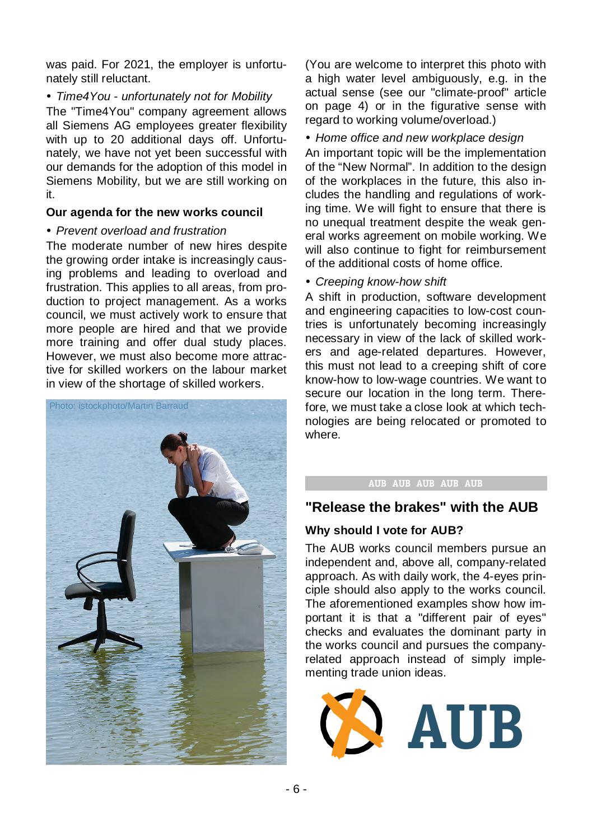was paid. For 2021, the employer is unfortunately still reluctant.

*Time4You - unfortunately not for Mobility*

The "Time4You" company agreement allows all Siemens AG employees greater flexibility with up to 20 additional days off. Unfortunately, we have not yet been successful with our demands for the adoption of this model in Siemens Mobility, but we are still working on it.

### **Our agenda for the new works council**

### *Prevent overload and frustration*

The moderate number of new hires despite the growing order intake is increasingly causing problems and leading to overload and frustration. This applies to all areas, from production to project management. As a works council, we must actively work to ensure that more people are hired and that we provide more training and offer dual study places. However, we must also become more attractive for skilled workers on the labour market in view of the shortage of skilled workers.



(You are welcome to interpret this photo with a high water level ambiguously, e.g. in the actual sense (see our "climate-proof" article on page 4) or in the figurative sense with regard to working volume/overload.)

### *Home office and new workplace design*

An important topic will be the implementation of the "New Normal". In addition to the design of the workplaces in the future, this also includes the handling and regulations of working time. We will fight to ensure that there is no unequal treatment despite the weak general works agreement on mobile working. We will also continue to fight for reimbursement of the additional costs of home office.

*Creeping know-how shift*

A shift in production, software development and engineering capacities to low-cost countries is unfortunately becoming increasingly necessary in view of the lack of skilled workers and age-related departures. However, this must not lead to a creeping shift of core know-how to low-wage countries. We want to secure our location in the long term. Therefore, we must take a close look at which technologies are being relocated or promoted to where.

### AUB AUB AUB AUB AUB

### **"Release the brakes" with the AUB**

### **Why should I vote for AUB?**

The AUB works council members pursue an independent and, above all, company-related approach. As with daily work, the 4-eyes principle should also apply to the works council. The aforementioned examples show how important it is that a "different pair of eyes" checks and evaluates the dominant party in the works council and pursues the companyrelated approach instead of simply implementing trade union ideas.

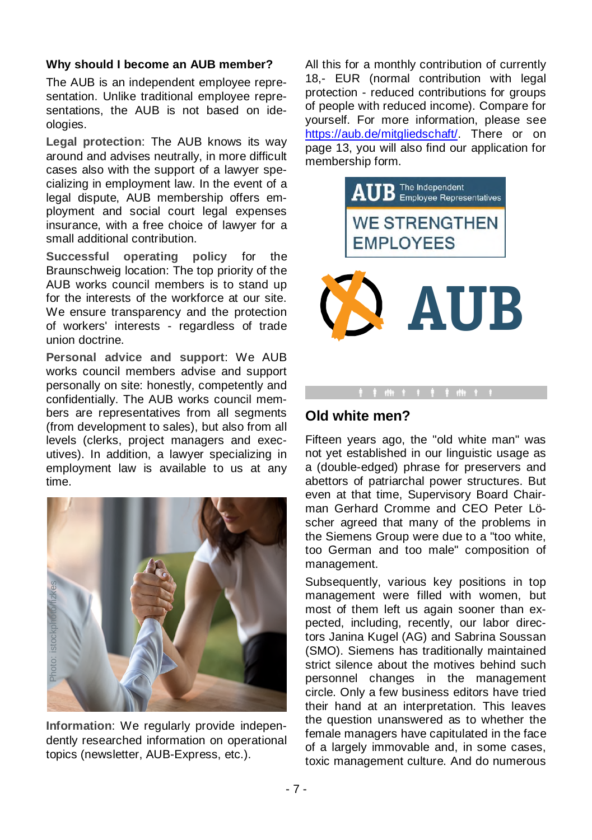### **Why should I become an AUB member?**

The AUB is an independent employee representation. Unlike traditional employee representations, the AUB is not based on ideologies.

**Legal protection**: The AUB knows its way around and advises neutrally, in more difficult cases also with the support of a lawyer specializing in employment law. In the event of a legal dispute, AUB membership offers employment and social court legal expenses insurance, with a free choice of lawyer for a small additional contribution.

**Successful operating policy** for the Braunschweig location: The top priority of the AUB works council members is to stand up for the interests of the workforce at our site. We ensure transparency and the protection of workers' interests - regardless of trade union doctrine.

**Personal advice and support**: We AUB works council members advise and support personally on site: honestly, competently and confidentially. The AUB works council members are representatives from all segments (from development to sales), but also from all levels (clerks, project managers and executives). In addition, a lawyer specializing in employment law is available to us at any time.



**Information**: We regularly provide independently researched information on operational topics (newsletter, AUB-Express, etc.).

All this for a monthly contribution of currently 18,- EUR (normal contribution with legal protection - reduced contributions for groups of people with reduced income). Compare for yourself. For more information, please see https://aub.de/mitgliedschaft/. There or on page 13, you will also find our application for membership form.



### **Old white men?**

Fifteen years ago, the "old white man" was not yet established in our linguistic usage as a (double-edged) phrase for preservers and abettors of patriarchal power structures. But even at that time, Supervisory Board Chairman Gerhard Cromme and CEO Peter Löscher agreed that many of the problems in the Siemens Group were due to a "too white, too German and too male" composition of management.

Subsequently, various key positions in top management were filled with women, but most of them left us again sooner than expected, including, recently, our labor directors Janina Kugel (AG) and Sabrina Soussan (SMO). Siemens has traditionally maintained strict silence about the motives behind such personnel changes in the management circle. Only a few business editors have tried their hand at an interpretation. This leaves the question unanswered as to whether the female managers have capitulated in the face of a largely immovable and, in some cases, toxic management culture. And do numerous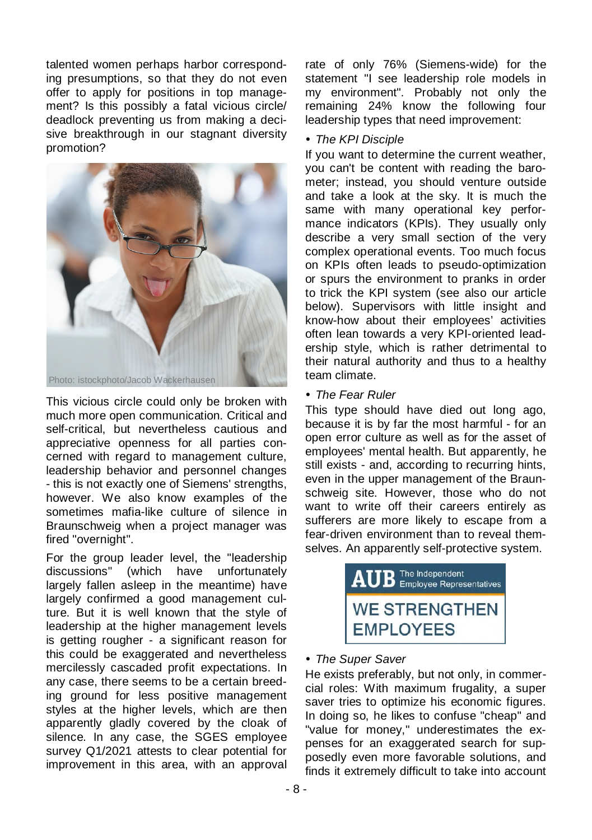talented women perhaps harbor corresponding presumptions, so that they do not even offer to apply for positions in top management? Is this possibly a fatal vicious circle/ deadlock preventing us from making a decisive breakthrough in our stagnant diversity promotion?



This vicious circle could only be broken with much more open communication. Critical and self-critical, but nevertheless cautious and appreciative openness for all parties concerned with regard to management culture, leadership behavior and personnel changes - this is not exactly one of Siemens' strengths, however. We also know examples of the sometimes mafia-like culture of silence in Braunschweig when a project manager was fired "overnight".

For the group leader level, the "leadership discussions" (which have unfortunately largely fallen asleep in the meantime) have largely confirmed a good management culture. But it is well known that the style of leadership at the higher management levels is getting rougher - a significant reason for this could be exaggerated and nevertheless mercilessly cascaded profit expectations. In any case, there seems to be a certain breeding ground for less positive management styles at the higher levels, which are then apparently gladly covered by the cloak of silence. In any case, the SGES employee survey Q1/2021 attests to clear potential for improvement in this area, with an approval rate of only 76% (Siemens-wide) for the statement "I see leadership role models in my environment". Probably not only the remaining 24% know the following four leadership types that need improvement:

### *The KPI Disciple*

If you want to determine the current weather, you can't be content with reading the barometer; instead, you should venture outside and take a look at the sky. It is much the same with many operational key performance indicators (KPIs). They usually only describe a very small section of the very complex operational events. Too much focus on KPIs often leads to pseudo-optimization or spurs the environment to pranks in order to trick the KPI system (see also our article below). Supervisors with little insight and know-how about their employees' activities often lean towards a very KPI-oriented leadership style, which is rather detrimental to their natural authority and thus to a healthy team climate.

### *The Fear Ruler*

This type should have died out long ago, because it is by far the most harmful - for an open error culture as well as for the asset of employees' mental health. But apparently, he still exists - and, according to recurring hints, even in the upper management of the Braunschweig site. However, those who do not want to write off their careers entirely as sufferers are more likely to escape from a fear-driven environment than to reveal themselves. An apparently self-protective system.



### *The Super Saver*

He exists preferably, but not only, in commercial roles: With maximum frugality, a super saver tries to optimize his economic figures. In doing so, he likes to confuse "cheap" and "value for money," underestimates the expenses for an exaggerated search for supposedly even more favorable solutions, and finds it extremely difficult to take into account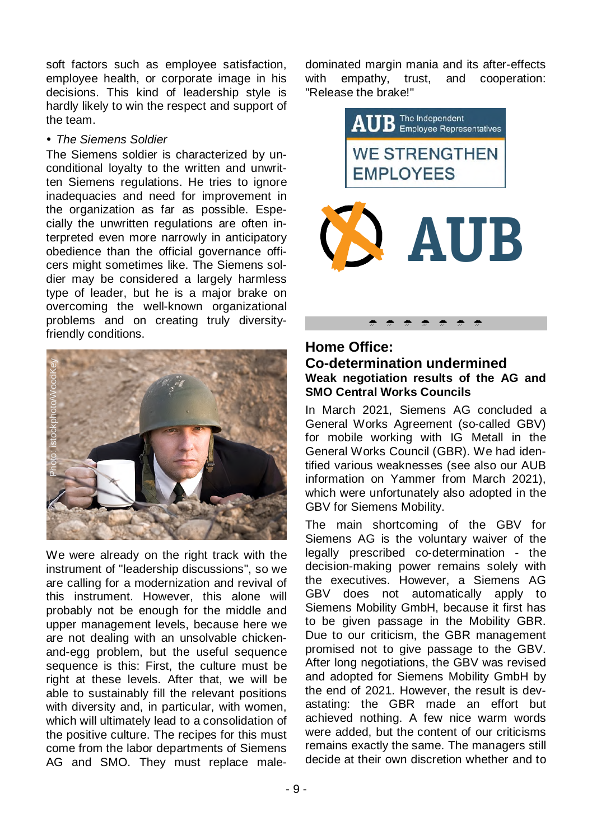soft factors such as employee satisfaction, employee health, or corporate image in his decisions. This kind of leadership style is hardly likely to win the respect and support of the team.

### *The Siemens Soldier*

The Siemens soldier is characterized by unconditional loyalty to the written and unwritten Siemens regulations. He tries to ignore inadequacies and need for improvement in the organization as far as possible. Especially the unwritten regulations are often interpreted even more narrowly in anticipatory obedience than the official governance officers might sometimes like. The Siemens soldier may be considered a largely harmless type of leader, but he is a major brake on overcoming the well-known organizational problems and on creating truly diversityfriendly conditions.



We were already on the right track with the instrument of "leadership discussions", so we are calling for a modernization and revival of this instrument. However, this alone will probably not be enough for the middle and upper management levels, because here we are not dealing with an unsolvable chickenand-egg problem, but the useful sequence sequence is this: First, the culture must be right at these levels. After that, we will be able to sustainably fill the relevant positions with diversity and, in particular, with women, which will ultimately lead to a consolidation of the positive culture. The recipes for this must come from the labor departments of Siemens AG and SMO. They must replace maledominated margin mania and its after-effects with empathy, trust, and cooperation: "Release the brake!"



### **Home Office: Co-determination undermined Weak negotiation results of the AG and SMO Central Works Councils**

In March 2021, Siemens AG concluded a General Works Agreement (so-called GBV) for mobile working with IG Metall in the General Works Council (GBR). We had identified various weaknesses (see also our AUB information on Yammer from March 2021), which were unfortunately also adopted in the GBV for Siemens Mobility.

The main shortcoming of the GBV for Siemens AG is the voluntary waiver of the legally prescribed co-determination - the decision-making power remains solely with the executives. However, a Siemens AG GBV does not automatically apply to Siemens Mobility GmbH, because it first has to be given passage in the Mobility GBR. Due to our criticism, the GBR management promised not to give passage to the GBV. After long negotiations, the GBV was revised and adopted for Siemens Mobility GmbH by the end of 2021. However, the result is devastating: the GBR made an effort but achieved nothing. A few nice warm words were added, but the content of our criticisms remains exactly the same. The managers still decide at their own discretion whether and to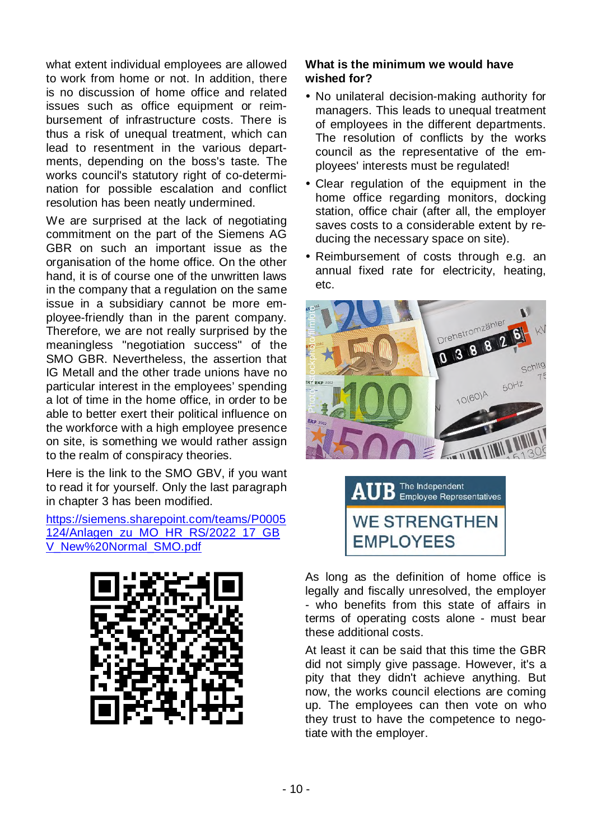what extent individual employees are allowed to work from home or not. In addition, there is no discussion of home office and related issues such as office equipment or reimbursement of infrastructure costs. There is thus a risk of unequal treatment, which can lead to resentment in the various departments, depending on the boss's taste. The works council's statutory right of co-determination for possible escalation and conflict resolution has been neatly undermined.

We are surprised at the lack of negotiating commitment on the part of the Siemens AG GBR on such an important issue as the organisation of the home office. On the other hand, it is of course one of the unwritten laws in the company that a regulation on the same issue in a subsidiary cannot be more employee-friendly than in the parent company. Therefore, we are not really surprised by the meaningless "negotiation success" of the SMO GBR. Nevertheless, the assertion that IG Metall and the other trade unions have no particular interest in the employees' spending a lot of time in the home office, in order to be able to better exert their political influence on the workforce with a high employee presence on site, is something we would rather assign to the realm of conspiracy theories.

Here is the link to the SMO GBV, if you want to read it for yourself. Only the last paragraph in chapter 3 has been modified.

https://siemens.sharepoint.com/teams/P0005 124/Anlagen\_zu\_MO\_HR\_RS/2022\_17\_GB V\_New%20Normal\_SMO.pdf



### **What is the minimum we would have wished for?**

- No unilateral decision-making authority for managers. This leads to unequal treatment of employees in the different departments. The resolution of conflicts by the works council as the representative of the employees' interests must be regulated!
- Clear regulation of the equipment in the home office regarding monitors, docking station, office chair (after all, the employer saves costs to a considerable extent by reducing the necessary space on site).
- Reimbursement of costs through e.g. an annual fixed rate for electricity, heating, etc.





As long as the definition of home office is legally and fiscally unresolved, the employer - who benefits from this state of affairs in terms of operating costs alone - must bear these additional costs.

At least it can be said that this time the GBR did not simply give passage. However, it's a pity that they didn't achieve anything. But now, the works council elections are coming up. The employees can then vote on who they trust to have the competence to negotiate with the employer.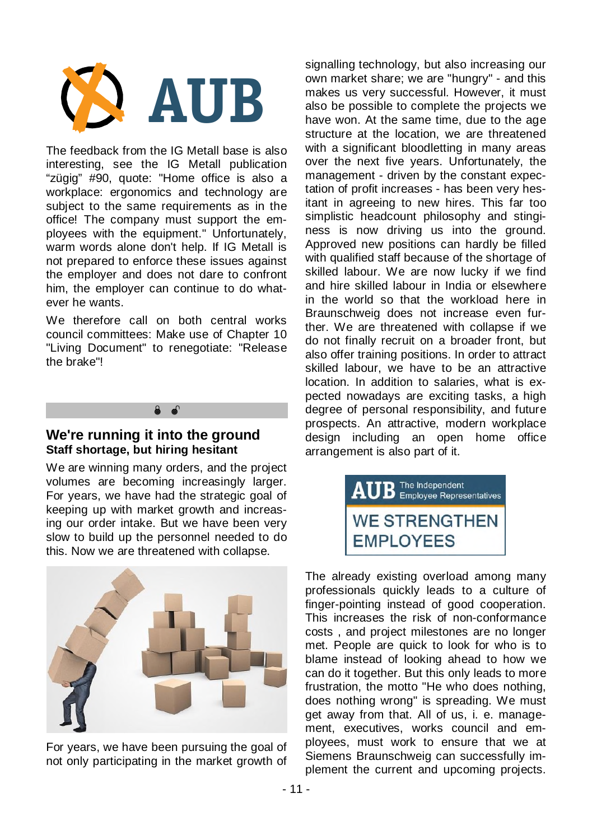

The feedback from the IG Metall base is also interesting, see the IG Metall publication "zügig" #90, quote: "Home office is also a workplace: ergonomics and technology are subject to the same requirements as in the office! The company must support the employees with the equipment." Unfortunately, warm words alone don't help. If IG Metall is not prepared to enforce these issues against the employer and does not dare to confront him, the employer can continue to do whatever he wants.

We therefore call on both central works council committees: Make use of Chapter 10 "Living Document" to renegotiate: "Release the brake"!



# **Staff shortage, but hiring hesitant**

We are winning many orders, and the project volumes are becoming increasingly larger. For years, we have had the strategic goal of keeping up with market growth and increasing our order intake. But we have been very slow to build up the personnel needed to do this. Now we are threatened with collapse.



For years, we have been pursuing the goal of not only participating in the market growth of signalling technology, but also increasing our own market share; we are "hungry" - and this makes us very successful. However, it must also be possible to complete the projects we have won. At the same time, due to the age structure at the location, we are threatened with a significant bloodletting in many areas over the next five years. Unfortunately, the management - driven by the constant expectation of profit increases - has been very hesitant in agreeing to new hires. This far too simplistic headcount philosophy and stinginess is now driving us into the ground. Approved new positions can hardly be filled with qualified staff because of the shortage of skilled labour. We are now lucky if we find and hire skilled labour in India or elsewhere in the world so that the workload here in Braunschweig does not increase even further. We are threatened with collapse if we do not finally recruit on a broader front, but also offer training positions. In order to attract skilled labour, we have to be an attractive location. In addition to salaries, what is expected nowadays are exciting tasks, a high degree of personal responsibility, and future prospects. An attractive, modern workplace design including an open home office arrangement is also part of it.



The already existing overload among many professionals quickly leads to a culture of finger-pointing instead of good cooperation. This increases the risk of non-conformance costs , and project milestones are no longer met. People are quick to look for who is to blame instead of looking ahead to how we can do it together. But this only leads to more frustration, the motto "He who does nothing, does nothing wrong" is spreading. We must get away from that. All of us, i. e. management, executives, works council and employees, must work to ensure that we at Siemens Braunschweig can successfully implement the current and upcoming projects.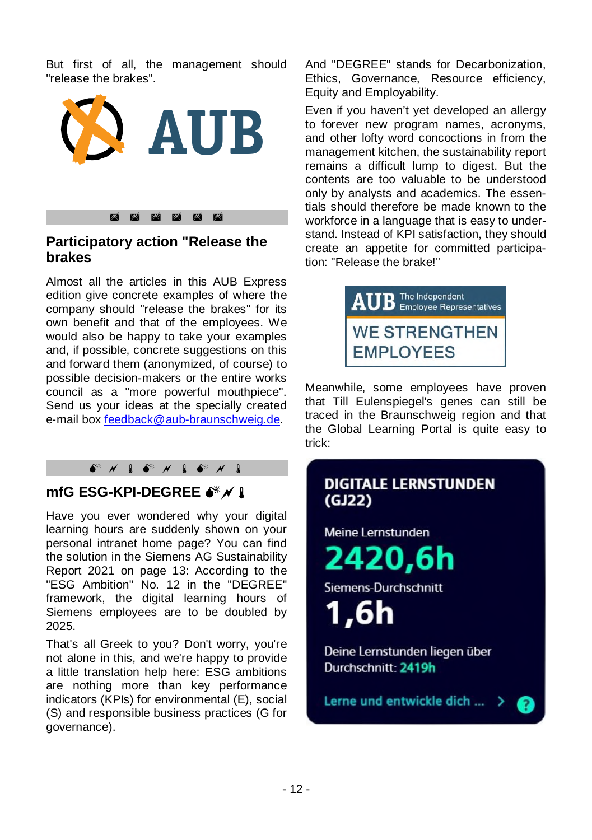But first of all, the management should "release the brakes".



### **Participatory action "Release the brakes**

Almost all the articles in this AUB Express edition give concrete examples of where the company should "release the brakes" for its own benefit and that of the employees. We would also be happy to take your examples and, if possible, concrete suggestions on this and forward them (anonymized, of course) to possible decision-makers or the entire works council as a "more powerful mouthpiece". Send us your ideas at the specially created e-mail box feedback@aub-braunschweig.de.

### 

### **mfG ESG-KPI-DEGREE**

Have you ever wondered why your digital learning hours are suddenly shown on your personal intranet home page? You can find the solution in the Siemens AG Sustainability Report 2021 on page 13: According to the "ESG Ambition" No. 12 in the "DEGREE" framework, the digital learning hours of Siemens employees are to be doubled by 2025.

That's all Greek to you? Don't worry, you're not alone in this, and we're happy to provide a little translation help here: ESG ambitions are nothing more than key performance indicators (KPIs) for environmental (E), social (S) and responsible business practices (G for governance).

And "DEGREE" stands for Decarbonization, Ethics, Governance, Resource efficiency, Equity and Employability.

Even if you haven't yet developed an allergy to forever new program names, acronyms, and other lofty word concoctions in from the management kitchen, the sustainability report remains a difficult lump to digest. But the contents are too valuable to be understood only by analysts and academics. The essentials should therefore be made known to the workforce in a language that is easy to understand. Instead of KPI satisfaction, they should create an appetite for committed participation: "Release the brake!"



Meanwhile, some employees have proven that Till Eulenspiegel's genes can still be traced in the Braunschweig region and that the Global Learning Portal is quite easy to trick:

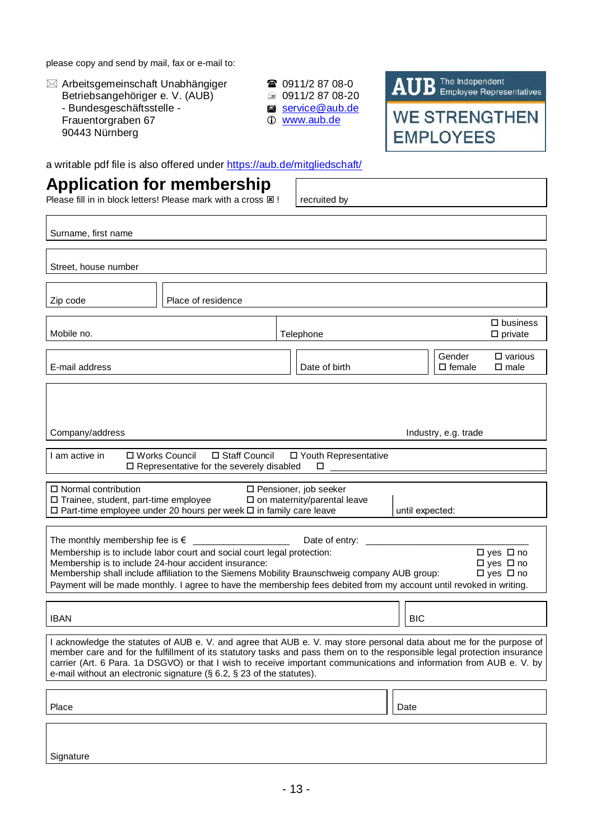please copy and send by mail, fax or e-mail to:

 Arbeitsgemeinschaft Unabhängiger Betriebsangehöriger e. V. (AUB) - Bundesgeschäftsstelle - Frauentorgraben 67 90443 Nürnberg

- 0911/2 87 08-0  $\equiv 0911/28708-20$ service@aub.de
- www.aub.de

AUB The Independent **WE STRENGTHEN** 

**EMPLOYEES** 

a writable pdf file is also offered under https://aub.de/mitgliedschaft/

## **Application for membership**

Please fill in in block letters! Please mark with a cross  $\boxtimes$  ! recruited by

| Surname, first name                                                                                                                                                                                                                                                                                                                                                                                                                                            |                      |                                                                |  |  |  |
|----------------------------------------------------------------------------------------------------------------------------------------------------------------------------------------------------------------------------------------------------------------------------------------------------------------------------------------------------------------------------------------------------------------------------------------------------------------|----------------------|----------------------------------------------------------------|--|--|--|
| Street, house number                                                                                                                                                                                                                                                                                                                                                                                                                                           |                      |                                                                |  |  |  |
| Place of residence<br>Zip code                                                                                                                                                                                                                                                                                                                                                                                                                                 |                      |                                                                |  |  |  |
| Mobile no.                                                                                                                                                                                                                                                                                                                                                                                                                                                     | Telephone            | $\square$ business<br>$\square$ private                        |  |  |  |
| E-mail address                                                                                                                                                                                                                                                                                                                                                                                                                                                 | Date of birth        | Gender<br>$\square$ various<br>$\square$ female<br>$\Box$ male |  |  |  |
|                                                                                                                                                                                                                                                                                                                                                                                                                                                                |                      |                                                                |  |  |  |
| Company/address                                                                                                                                                                                                                                                                                                                                                                                                                                                | Industry, e.g. trade |                                                                |  |  |  |
| □ Works Council<br>□ Staff Council<br>I am active in<br>□ Youth Representative<br>□ Representative for the severely disabled<br>$\Box$ and a set of $\Box$                                                                                                                                                                                                                                                                                                     |                      |                                                                |  |  |  |
| $\Box$ Normal contribution<br>$\Box$ Pensioner, job seeker<br>□ Trainee, student, part-time employee<br>$\square$ on maternity/parental leave<br>□ Part-time employee under 20 hours per week □ in family care leave<br>until expected:                                                                                                                                                                                                                        |                      |                                                                |  |  |  |
| The monthly membership fee is $\epsilon$<br>Date of entry:<br>□ yes □ no<br>Membership is to include labor court and social court legal protection:<br>Membership is to include 24-hour accident insurance:<br>□ yes □ no<br>Membership shall include affiliation to the Siemens Mobility Braunschweig company AUB group:<br>□ yes □ no<br>Payment will be made monthly. I agree to have the membership fees debited from my account until revoked in writing. |                      |                                                                |  |  |  |
| <b>IBAN</b>                                                                                                                                                                                                                                                                                                                                                                                                                                                    |                      | <b>BIC</b>                                                     |  |  |  |
| I acknowledge the statutes of AUB e. V. and agree that AUB e. V. may store personal data about me for the purpose of<br>member care and for the fulfillment of its statutory tasks and pass them on to the responsible legal protection insurance<br>carrier (Art. 6 Para. 1a DSGVO) or that I wish to receive important communications and information from AUB e. V. by<br>e-mail without an electronic signature ( $\S$ 6.2, $\S$ 23 of the statutes).      |                      |                                                                |  |  |  |
| Place                                                                                                                                                                                                                                                                                                                                                                                                                                                          |                      | Date                                                           |  |  |  |
|                                                                                                                                                                                                                                                                                                                                                                                                                                                                |                      |                                                                |  |  |  |
| Signature                                                                                                                                                                                                                                                                                                                                                                                                                                                      |                      |                                                                |  |  |  |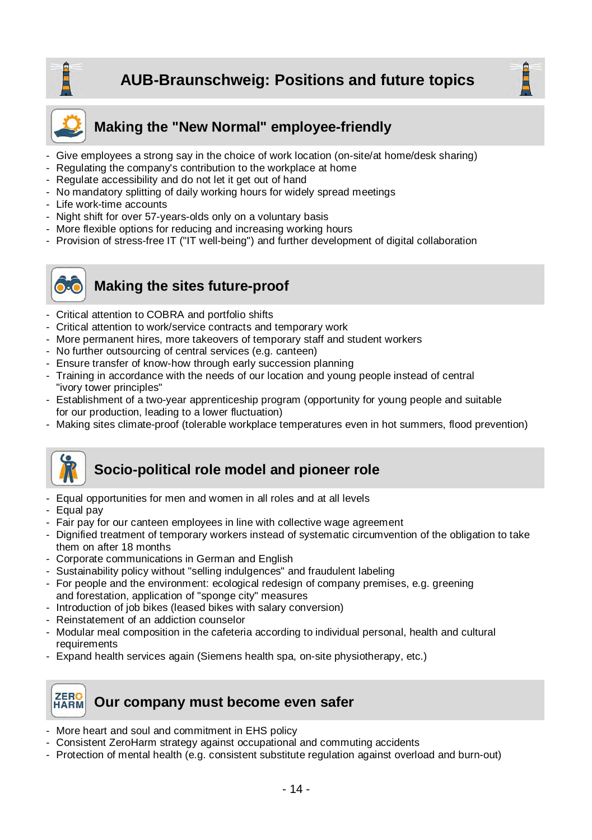





### **Making the "New Normal" employee-friendly**

- Give employees a strong say in the choice of work location (on-site/at home/desk sharing)
- Regulating the company's contribution to the workplace at home
- Regulate accessibility and do not let it get out of hand
- No mandatory splitting of daily working hours for widely spread meetings
- Life work-time accounts
- Night shift for over 57-years-olds only on a voluntary basis
- More flexible options for reducing and increasing working hours
- Provision of stress-free IT ("IT well-being") and further development of digital collaboration



### **Making the sites future-proof**

- Critical attention to COBRA and portfolio shifts
- Critical attention to work/service contracts and temporary work
- More permanent hires, more takeovers of temporary staff and student workers
- No further outsourcing of central services (e.g. canteen)
- Ensure transfer of know-how through early succession planning
- Training in accordance with the needs of our location and young people instead of central "ivory tower principles"
- Establishment of a two-year apprenticeship program (opportunity for young people and suitable for our production, leading to a lower fluctuation)
- Making sites climate-proof (tolerable workplace temperatures even in hot summers, flood prevention)



### **Socio-political role model and pioneer role**

- Equal opportunities for men and women in all roles and at all levels
- Equal pay
- Fair pay for our canteen employees in line with collective wage agreement
- Dignified treatment of temporary workers instead of systematic circumvention of the obligation to take them on after 18 months
- Corporate communications in German and English
- Sustainability policy without "selling indulgences" and fraudulent labeling
- For people and the environment: ecological redesign of company premises, e.g. greening and forestation, application of "sponge city" measures
- Introduction of job bikes (leased bikes with salary conversion)
- Reinstatement of an addiction counselor
- Modular meal composition in the cafeteria according to individual personal, health and cultural requirements
- Expand health services again (Siemens health spa, on-site physiotherapy, etc.)

### ZERO **Our company must become even safer**

- More heart and soul and commitment in EHS policy
- Consistent ZeroHarm strategy against occupational and commuting accidents
- Protection of mental health (e.g. consistent substitute regulation against overload and burn-out)